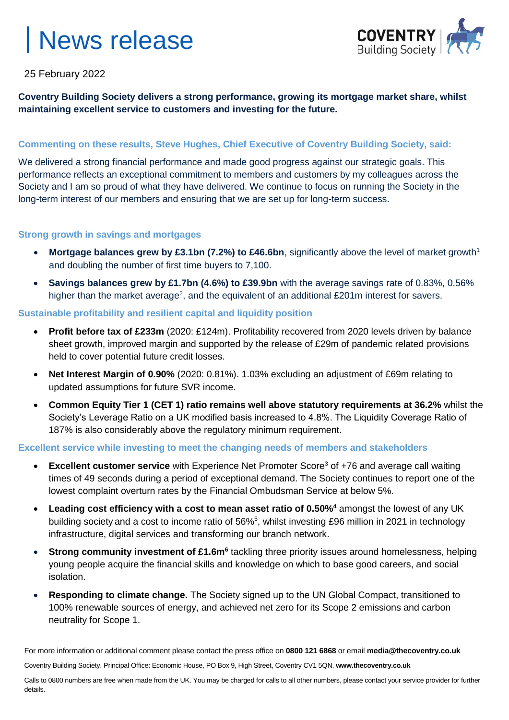

25 February 2022

### **Coventry Building Society delivers a strong performance, growing its mortgage market share, whilst maintaining excellent service to customers and investing for the future.**

### **Commenting on these results, Steve Hughes, Chief Executive of Coventry Building Society, said:**

We delivered a strong financial performance and made good progress against our strategic goals. This performance reflects an exceptional commitment to members and customers by my colleagues across the Society and I am so proud of what they have delivered. We continue to focus on running the Society in the long-term interest of our members and ensuring that we are set up for long-term success.

### **Strong growth in savings and mortgages**

- Mortgage balances grew by £3.1bn (7.2%) to £46.6bn, significantly above the level of market growth<sup>1</sup> and doubling the number of first time buyers to 7,100.
- **Savings balances grew by £1.7bn (4.6%) to £39.9bn** with the average savings rate of 0.83%, 0.56% higher than the market average<sup>2</sup>, and the equivalent of an additional £201m interest for savers.

### **Sustainable profitability and resilient capital and liquidity position**

- **Profit before tax of £233m** (2020: £124m). Profitability recovered from 2020 levels driven by balance sheet growth, improved margin and supported by the release of £29m of pandemic related provisions held to cover potential future credit losses.
- **Net Interest Margin of 0.90%** (2020: 0.81%). 1.03% excluding an adjustment of £69m relating to updated assumptions for future SVR income.
- **Common Equity Tier 1 (CET 1) ratio remains well above statutory requirements at 36.2%** whilst the Society's Leverage Ratio on a UK modified basis increased to 4.8%. The Liquidity Coverage Ratio of 187% is also considerably above the regulatory minimum requirement.

### **Excellent service while investing to meet the changing needs of members and stakeholders**

- **Excellent customer service** with Experience Net Promoter Score<sup>3</sup> of +76 and average call waiting times of 49 seconds during a period of exceptional demand. The Society continues to report one of the lowest complaint overturn rates by the Financial Ombudsman Service at below 5%.
- **Leading cost efficiency with a cost to mean asset ratio of 0.50%<sup>4</sup>** amongst the lowest of any UK building society and a cost to income ratio of 56%<sup>5</sup>, whilst investing £96 million in 2021 in technology infrastructure, digital services and transforming our branch network.
- **Strong community investment of £1.6m<sup>6</sup> tackling three priority issues around homelessness, helping** young people acquire the financial skills and knowledge on which to base good careers, and social isolation.
- **Responding to climate change.** The Society signed up to the UN Global Compact, transitioned to 100% renewable sources of energy, and achieved net zero for its Scope 2 emissions and carbon neutrality for Scope 1.

For more information or additional comment please contact the press office on **0800 121 6868** or email **media@thecoventry.co.uk**

Coventry Building Society. Principal Office: Economic House, PO Box 9, High Street, Coventry CV1 5QN. **www.thecoventry.co.uk**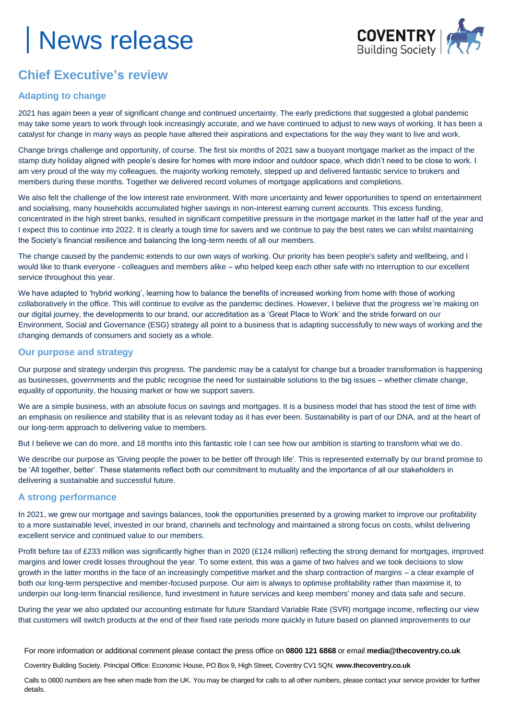

### **Chief Executive's review**

### **Adapting to change**

2021 has again been a year of significant change and continued uncertainty. The early predictions that suggested a global pandemic may take some years to work through look increasingly accurate, and we have continued to adjust to new ways of working. It has been a catalyst for change in many ways as people have altered their aspirations and expectations for the way they want to live and work.

Change brings challenge and opportunity, of course. The first six months of 2021 saw a buoyant mortgage market as the impact of the stamp duty holiday aligned with people's desire for homes with more indoor and outdoor space, which didn't need to be close to work. I am very proud of the way my colleagues, the majority working remotely, stepped up and delivered fantastic service to brokers and members during these months. Together we delivered record volumes of mortgage applications and completions.

We also felt the challenge of the low interest rate environment. With more uncertainty and fewer opportunities to spend on entertainment and socialising, many households accumulated higher savings in non-interest earning current accounts. This excess funding, concentrated in the high street banks, resulted in significant competitive pressure in the mortgage market in the latter half of the year and I expect this to continue into 2022. It is clearly a tough time for savers and we continue to pay the best rates we can whilst maintaining the Society's financial resilience and balancing the long-term needs of all our members.

The change caused by the pandemic extends to our own ways of working. Our priority has been people's safety and wellbeing, and I would like to thank everyone - colleagues and members alike – who helped keep each other safe with no interruption to our excellent service throughout this year.

We have adapted to 'hybrid working', learning how to balance the benefits of increased working from home with those of working collaboratively in the office. This will continue to evolve as the pandemic declines. However, I believe that the progress we're making on our digital journey, the developments to our brand, our accreditation as a 'Great Place to Work' and the stride forward on our Environment, Social and Governance (ESG) strategy all point to a business that is adapting successfully to new ways of working and the changing demands of consumers and society as a whole.

### **Our purpose and strategy**

Our purpose and strategy underpin this progress. The pandemic may be a catalyst for change but a broader transformation is happening as businesses, governments and the public recognise the need for sustainable solutions to the big issues – whether climate change, equality of opportunity, the housing market or how we support savers.

We are a simple business, with an absolute focus on savings and mortgages. It is a business model that has stood the test of time with an emphasis on resilience and stability that is as relevant today as it has ever been. Sustainability is part of our DNA, and at the heart of our long-term approach to delivering value to members.

But I believe we can do more, and 18 months into this fantastic role I can see how our ambition is starting to transform what we do.

We describe our purpose as 'Giving people the power to be better off through life'. This is represented externally by our brand promise to be 'All together, better'. These statements reflect both our commitment to mutuality and the importance of all our stakeholders in delivering a sustainable and successful future.

### **A strong performance**

In 2021, we grew our mortgage and savings balances, took the opportunities presented by a growing market to improve our profitability to a more sustainable level, invested in our brand, channels and technology and maintained a strong focus on costs, whilst delivering excellent service and continued value to our members.

Profit before tax of £233 million was significantly higher than in 2020 (£124 million) reflecting the strong demand for mortgages, improved margins and lower credit losses throughout the year. To some extent, this was a game of two halves and we took decisions to slow growth in the latter months in the face of an increasingly competitive market and the sharp contraction of margins – a clear example of both our long-term perspective and member-focused purpose. Our aim is always to optimise profitability rather than maximise it, to underpin our long-term financial resilience, fund investment in future services and keep members' money and data safe and secure.

During the year we also updated our accounting estimate for future Standard Variable Rate (SVR) mortgage income, reflecting our view that customers will switch products at the end of their fixed rate periods more quickly in future based on planned improvements to our

For more information or additional comment please contact the press office on **0800 121 6868** or email **media@thecoventry.co.uk**

Coventry Building Society. Principal Office: Economic House, PO Box 9, High Street, Coventry CV1 5QN. **www.thecoventry.co.uk**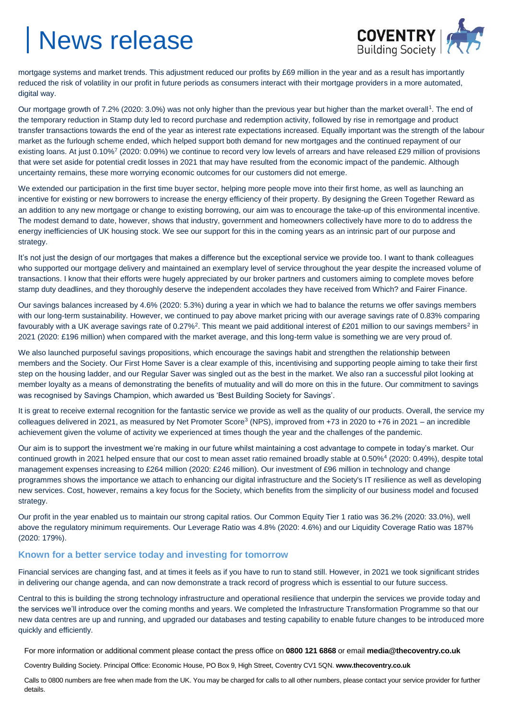

mortgage systems and market trends. This adjustment reduced our profits by £69 million in the year and as a result has importantly reduced the risk of volatility in our profit in future periods as consumers interact with their mortgage providers in a more automated, digital way.

Our mortgage growth of 7.2% (2020: 3.0%) was not only higher than the previous year but higher than the market overall<sup>1</sup>. The end of the temporary reduction in Stamp duty led to record purchase and redemption activity, followed by rise in remortgage and product transfer transactions towards the end of the year as interest rate expectations increased. Equally important was the strength of the labour market as the furlough scheme ended, which helped support both demand for new mortgages and the continued repayment of our existing loans. At just 0.10%<sup>7</sup> (2020: 0.09%) we continue to record very low levels of arrears and have released £29 million of provisions that were set aside for potential credit losses in 2021 that may have resulted from the economic impact of the pandemic. Although uncertainty remains, these more worrying economic outcomes for our customers did not emerge.

We extended our participation in the first time buyer sector, helping more people move into their first home, as well as launching an incentive for existing or new borrowers to increase the energy efficiency of their property. By designing the Green Together Reward as an addition to any new mortgage or change to existing borrowing, our aim was to encourage the take-up of this environmental incentive. The modest demand to date, however, shows that industry, government and homeowners collectively have more to do to address the energy inefficiencies of UK housing stock. We see our support for this in the coming years as an intrinsic part of our purpose and strategy.

It's not just the design of our mortgages that makes a difference but the exceptional service we provide too. I want to thank colleagues who supported our mortgage delivery and maintained an exemplary level of service throughout the year despite the increased volume of transactions. I know that their efforts were hugely appreciated by our broker partners and customers aiming to complete moves before stamp duty deadlines, and they thoroughly deserve the independent accolades they have received from Which? and Fairer Finance.

Our savings balances increased by 4.6% (2020: 5.3%) during a year in which we had to balance the returns we offer savings members with our long-term sustainability. However, we continued to pay above market pricing with our average savings rate of 0.83% comparing favourably with a UK average savings rate of 0.27%<sup>2</sup>. This meant we paid additional interest of £201 million to our savings members<sup>2</sup> in 2021 (2020: £196 million) when compared with the market average, and this long-term value is something we are very proud of.

We also launched purposeful savings propositions, which encourage the savings habit and strengthen the relationship between members and the Society. Our First Home Saver is a clear example of this, incentivising and supporting people aiming to take their first step on the housing ladder, and our Regular Saver was singled out as the best in the market. We also ran a successful pilot looking at member loyalty as a means of demonstrating the benefits of mutuality and will do more on this in the future. Our commitment to savings was recognised by Savings Champion, which awarded us 'Best Building Society for Savings'.

It is great to receive external recognition for the fantastic service we provide as well as the quality of our products. Overall, the service my colleagues delivered in 2021, as measured by Net Promoter Score<sup>3</sup> (NPS), improved from +73 in 2020 to +76 in 2021 – an incredible achievement given the volume of activity we experienced at times though the year and the challenges of the pandemic.

Our aim is to support the investment we're making in our future whilst maintaining a cost advantage to compete in today's market. Our continued growth in 2021 helped ensure that our cost to mean asset ratio remained broadly stable at 0.50%<sup>4</sup> (2020: 0.49%), despite total management expenses increasing to £264 million (2020: £246 million). Our investment of £96 million in technology and change programmes shows the importance we attach to enhancing our digital infrastructure and the Society's IT resilience as well as developing new services. Cost, however, remains a key focus for the Society, which benefits from the simplicity of our business model and focused strategy.

Our profit in the year enabled us to maintain our strong capital ratios. Our Common Equity Tier 1 ratio was 36.2% (2020: 33.0%), well above the regulatory minimum requirements. Our Leverage Ratio was 4.8% (2020: 4.6%) and our Liquidity Coverage Ratio was 187% (2020: 179%).

### **Known for a better service today and investing for tomorrow**

Financial services are changing fast, and at times it feels as if you have to run to stand still. However, in 2021 we took significant strides in delivering our change agenda, and can now demonstrate a track record of progress which is essential to our future success.

Central to this is building the strong technology infrastructure and operational resilience that underpin the services we provide today and the services we'll introduce over the coming months and years. We completed the Infrastructure Transformation Programme so that our new data centres are up and running, and upgraded our databases and testing capability to enable future changes to be introduced more quickly and efficiently.

For more information or additional comment please contact the press office on **0800 121 6868** or email **media@thecoventry.co.uk**

Coventry Building Society. Principal Office: Economic House, PO Box 9, High Street, Coventry CV1 5QN. **www.thecoventry.co.uk**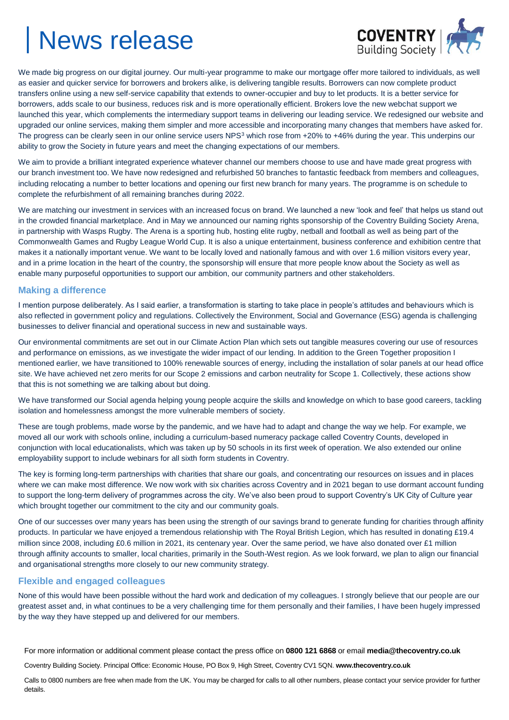

We made big progress on our digital journey. Our multi-year programme to make our mortgage offer more tailored to individuals, as well as easier and quicker service for borrowers and brokers alike, is delivering tangible results. Borrowers can now complete product transfers online using a new self-service capability that extends to owner-occupier and buy to let products. It is a better service for borrowers, adds scale to our business, reduces risk and is more operationally efficient. Brokers love the new webchat support we launched this year, which complements the intermediary support teams in delivering our leading service. We redesigned our website and upgraded our online services, making them simpler and more accessible and incorporating many changes that members have asked for. The progress can be clearly seen in our online service users NPS<sup>3</sup> which rose from +20% to +46% during the year. This underpins our ability to grow the Society in future years and meet the changing expectations of our members.

We aim to provide a brilliant integrated experience whatever channel our members choose to use and have made great progress with our branch investment too. We have now redesigned and refurbished 50 branches to fantastic feedback from members and colleagues, including relocating a number to better locations and opening our first new branch for many years. The programme is on schedule to complete the refurbishment of all remaining branches during 2022.

We are matching our investment in services with an increased focus on brand. We launched a new 'look and feel' that helps us stand out in the crowded financial marketplace. And in May we announced our naming rights sponsorship of the Coventry Building Society Arena, in partnership with Wasps Rugby. The Arena is a sporting hub, hosting elite rugby, netball and football as well as being part of the Commonwealth Games and Rugby League World Cup. It is also a unique entertainment, business conference and exhibition centre that makes it a nationally important venue. We want to be locally loved and nationally famous and with over 1.6 million visitors every year, and in a prime location in the heart of the country, the sponsorship will ensure that more people know about the Society as well as enable many purposeful opportunities to support our ambition, our community partners and other stakeholders.

### **Making a difference**

I mention purpose deliberately. As I said earlier, a transformation is starting to take place in people's attitudes and behaviours which is also reflected in government policy and regulations. Collectively the Environment, Social and Governance (ESG) agenda is challenging businesses to deliver financial and operational success in new and sustainable ways.

Our environmental commitments are set out in our Climate Action Plan which sets out tangible measures covering our use of resources and performance on emissions, as we investigate the wider impact of our lending. In addition to the Green Together proposition I mentioned earlier, we have transitioned to 100% renewable sources of energy, including the installation of solar panels at our head office site. We have achieved net zero merits for our Scope 2 emissions and carbon neutrality for Scope 1. Collectively, these actions show that this is not something we are talking about but doing.

We have transformed our Social agenda helping young people acquire the skills and knowledge on which to base good careers, tackling isolation and homelessness amongst the more vulnerable members of society.

These are tough problems, made worse by the pandemic, and we have had to adapt and change the way we help. For example, we moved all our work with schools online, including a curriculum-based numeracy package called Coventry Counts, developed in conjunction with local educationalists, which was taken up by 50 schools in its first week of operation. We also extended our online employability support to include webinars for all sixth form students in Coventry.

The key is forming long-term partnerships with charities that share our goals, and concentrating our resources on issues and in places where we can make most difference. We now work with six charities across Coventry and in 2021 began to use dormant account funding to support the long-term delivery of programmes across the city. We've also been proud to support Coventry's UK City of Culture year which brought together our commitment to the city and our community goals.

One of our successes over many years has been using the strength of our savings brand to generate funding for charities through affinity products. In particular we have enjoyed a tremendous relationship with The Royal British Legion, which has resulted in donating £19.4 million since 2008, including £0.6 million in 2021, its centenary year. Over the same period, we have also donated over £1 million through affinity accounts to smaller, local charities, primarily in the South-West region. As we look forward, we plan to align our financial and organisational strengths more closely to our new community strategy.

### **Flexible and engaged colleagues**

None of this would have been possible without the hard work and dedication of my colleagues. I strongly believe that our people are our greatest asset and, in what continues to be a very challenging time for them personally and their families, I have been hugely impressed by the way they have stepped up and delivered for our members.

For more information or additional comment please contact the press office on **0800 121 6868** or email **media@thecoventry.co.uk**

Coventry Building Society. Principal Office: Economic House, PO Box 9, High Street, Coventry CV1 5QN. **www.thecoventry.co.uk**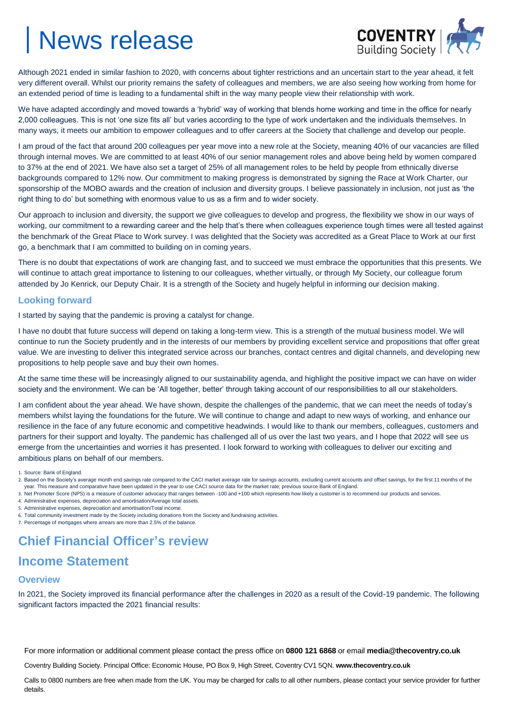

Although 2021 ended in similar fashion to 2020, with concerns about tighter restrictions and an uncertain start to the year ahead, it felt very different overall. Whilst our priority remains the safety of colleagues and members, we are also seeing how working from home for an extended period of time is leading to a fundamental shift in the way many people view their relationship with work.

We have adapted accordingly and moved towards a 'hybrid' way of working that blends home working and time in the office for nearly 2,000 colleagues. This is not 'one size fits all' but varies according to the type of work undertaken and the individuals themselves. In many ways, it meets our ambition to empower colleagues and to offer careers at the Society that challenge and develop our people.

I am proud of the fact that around 200 colleagues per year move into a new role at the Society, meaning 40% of our vacancies are filled through internal moves. We are committed to at least 40% of our senior management roles and above being held by women compared to 37% at the end of 2021. We have also set a target of 25% of all management roles to be held by people from ethnically diverse backgrounds compared to 12% now. Our commitment to making progress is demonstrated by signing the Race at Work Charter, our sponsorship of the MOBO awards and the creation of inclusion and diversity groups. I believe passionately in inclusion, not just as 'the right thing to do' but something with enormous value to us as a firm and to wider society.

Our approach to inclusion and diversity, the support we give colleagues to develop and progress, the flexibility we show in our ways of working, our commitment to a rewarding career and the help that's there when colleagues experience tough times were all tested against the benchmark of the Great Place to Work survey. I was delighted that the Society was accredited as a Great Place to Work at our first go, a benchmark that I am committed to building on in coming years.

There is no doubt that expectations of work are changing fast, and to succeed we must embrace the opportunities that this presents. We will continue to attach great importance to listening to our colleagues, whether virtually, or through My Society, our colleague forum attended by Jo Kenrick, our Deputy Chair. It is a strength of the Society and hugely helpful in informing our decision making.

#### **Looking forward**

I started by saying that the pandemic is proving a catalyst for change.

I have no doubt that future success will depend on taking a long-term view. This is a strength of the mutual business model. We will continue to run the Society prudently and in the interests of our members by providing excellent service and propositions that offer great value. We are investing to deliver this integrated service across our branches, contact centres and digital channels, and developing new propositions to help people save and buy their own homes.

At the same time these will be increasingly aligned to our sustainability agenda, and highlight the positive impact we can have on wider society and the environment. We can be 'All together, better' through taking account of our responsibilities to all our stakeholders.

I am confident about the year ahead. We have shown, despite the challenges of the pandemic, that we can meet the needs of today's members whilst laying the foundations for the future. We will continue to change and adapt to new ways of working, and enhance our resilience in the face of any future economic and competitive headwinds. I would like to thank our members, colleagues, customers and partners for their support and loyalty. The pandemic has challenged all of us over the last two years, and I hope that 2022 will see us emerge from the uncertainties and worries it has presented. I look forward to working with colleagues to deliver our exciting and ambitious plans on behalf of our members.

1. Source: Bank of England.

- 3. Net Promoter Score (NPS) is a measure of customer advocacy that ranges between -100 and +100 which represents how likely a customer is to recommend our products and services.
- 4. Administrative expenses, depreciation and amortisation/Average total assets.
- 5. Administrative expenses, depreciation and amortisation/Total income.
- 6. Total community investment made by the Society including donations from the Society and fundraising activities.
- 7. Percentage of mortgages where arrears are more than 2.5% of the balance.

### **Chief Financial Officer's review**

### **Income Statement**

#### **Overview**

In 2021, the Society improved its financial performance after the challenges in 2020 as a result of the Covid-19 pandemic. The following significant factors impacted the 2021 financial results:

For more information or additional comment please contact the press office on **0800 121 6868** or email **media@thecoventry.co.uk**

Coventry Building Society. Principal Office: Economic House, PO Box 9, High Street, Coventry CV1 5QN. **www.thecoventry.co.uk**

<sup>2.</sup> Based on the Society's average month end savings rate compared to the CACI market average rate for savings accounts, excluding current accounts and offset savings, for the first 11 months of the year. This measure and comparative have been updated in the year to use CACI source data for the market rate; previous source Bank of England.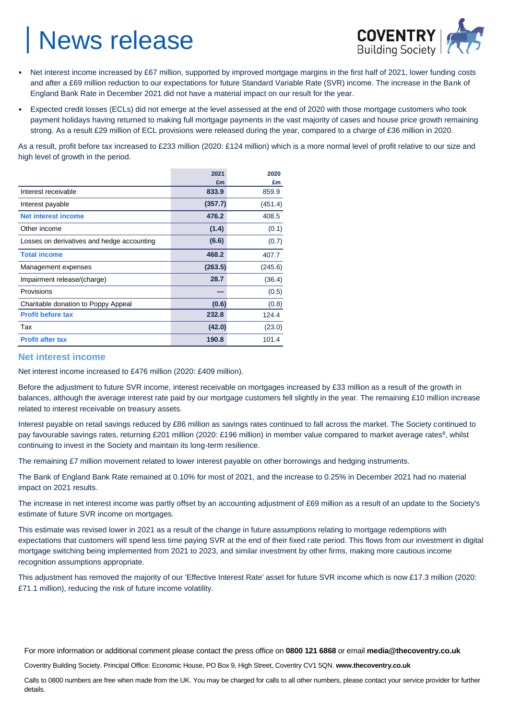

- Net interest income increased by £67 million, supported by improved mortgage margins in the first half of 2021, lower funding costs and after a £69 million reduction to our expectations for future Standard Variable Rate (SVR) income. The increase in the Bank of England Bank Rate in December 2021 did not have a material impact on our result for the year.
- Expected credit losses (ECLs) did not emerge at the level assessed at the end of 2020 with those mortgage customers who took payment holidays having returned to making full mortgage payments in the vast majority of cases and house price growth remaining strong. As a result £29 million of ECL provisions were released during the year, compared to a charge of £36 million in 2020.

As a result, profit before tax increased to £233 million (2020: £124 million) which is a more normal level of profit relative to our size and high level of growth in the period.

|                                            | 2021    | 2020    |
|--------------------------------------------|---------|---------|
|                                            | £m      | £m      |
| Interest receivable                        | 833.9   | 859.9   |
| Interest payable                           | (357.7) | (451.4) |
| <b>Net interest income</b>                 | 476.2   | 408.5   |
| Other income                               | (1.4)   | (0.1)   |
| Losses on derivatives and hedge accounting | (6.6)   | (0.7)   |
| <b>Total income</b>                        | 468.2   | 407.7   |
| Management expenses                        | (263.5) | (245.6) |
| Impairment release/(charge)                | 28.7    | (36.4)  |
| Provisions                                 |         | (0.5)   |
| Charitable donation to Poppy Appeal        | (0.6)   | (0.8)   |
| <b>Profit before tax</b>                   | 232.8   | 124.4   |
| Tax                                        | (42.0)  | (23.0)  |
| <b>Profit after tax</b>                    | 190.8   | 101.4   |

#### **Net interest income**

Net interest income increased to £476 million (2020: £409 million).

Before the adjustment to future SVR income, interest receivable on mortgages increased by £33 million as a result of the growth in balances, although the average interest rate paid by our mortgage customers fell slightly in the year. The remaining £10 million increase related to interest receivable on treasury assets.

Interest payable on retail savings reduced by £86 million as savings rates continued to fall across the market. The Society continued to pay favourable savings rates, returning £201 million (2020: £196 million) in member value compared to market average rates<sup>8</sup>, whilst continuing to invest in the Society and maintain its long-term resilience.

The remaining £7 million movement related to lower interest payable on other borrowings and hedging instruments.

The Bank of England Bank Rate remained at 0.10% for most of 2021, and the increase to 0.25% in December 2021 had no material impact on 2021 results.

The increase in net interest income was partly offset by an accounting adjustment of £69 million as a result of an update to the Society's estimate of future SVR income on mortgages.

This estimate was revised lower in 2021 as a result of the change in future assumptions relating to mortgage redemptions with expectations that customers will spend less time paying SVR at the end of their fixed rate period. This flows from our investment in digital mortgage switching being implemented from 2021 to 2023, and similar investment by other firms, making more cautious income recognition assumptions appropriate.

This adjustment has removed the majority of our 'Effective Interest Rate' asset for future SVR income which is now £17.3 million (2020: £71.1 million), reducing the risk of future income volatility.

For more information or additional comment please contact the press office on **0800 121 6868** or email **media@thecoventry.co.uk**

Coventry Building Society. Principal Office: Economic House, PO Box 9, High Street, Coventry CV1 5QN. **www.thecoventry.co.uk**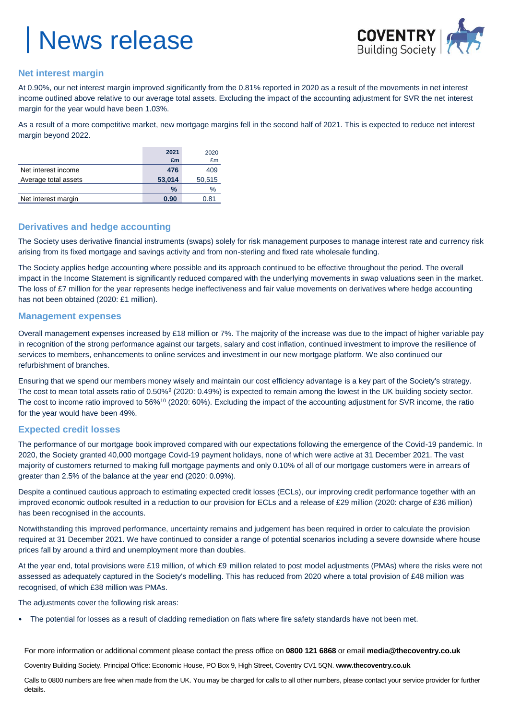

### **Net interest margin**

At 0.90%, our net interest margin improved significantly from the 0.81% reported in 2020 as a result of the movements in net interest income outlined above relative to our average total assets. Excluding the impact of the accounting adjustment for SVR the net interest margin for the year would have been 1.03%.

As a result of a more competitive market, new mortgage margins fell in the second half of 2021. This is expected to reduce net interest margin beyond 2022.

|                      | 2021   | 2020   |
|----------------------|--------|--------|
|                      | £m     | £m     |
| Net interest income  | 476    | 409    |
| Average total assets | 53,014 | 50,515 |
|                      | $\%$   | $\%$   |
| Net interest margin  | 0.90   | 0.81   |

### **Derivatives and hedge accounting**

The Society uses derivative financial instruments (swaps) solely for risk management purposes to manage interest rate and currency risk arising from its fixed mortgage and savings activity and from non-sterling and fixed rate wholesale funding.

The Society applies hedge accounting where possible and its approach continued to be effective throughout the period. The overall impact in the Income Statement is significantly reduced compared with the underlying movements in swap valuations seen in the market. The loss of £7 million for the year represents hedge ineffectiveness and fair value movements on derivatives where hedge accounting has not been obtained (2020: £1 million).

### **Management expenses**

Overall management expenses increased by £18 million or 7%. The majority of the increase was due to the impact of higher variable pay in recognition of the strong performance against our targets, salary and cost inflation, continued investment to improve the resilience of services to members, enhancements to online services and investment in our new mortgage platform. We also continued our refurbishment of branches.

Ensuring that we spend our members money wisely and maintain our cost efficiency advantage is a key part of the Society's strategy. The cost to mean total assets ratio of 0.50%<sup>9</sup> (2020: 0.49%) is expected to remain among the lowest in the UK building society sector. The cost to income ratio improved to 56%<sup>10</sup> (2020: 60%). Excluding the impact of the accounting adjustment for SVR income, the ratio for the year would have been 49%.

### **Expected credit losses**

The performance of our mortgage book improved compared with our expectations following the emergence of the Covid-19 pandemic. In 2020, the Society granted 40,000 mortgage Covid-19 payment holidays, none of which were active at 31 December 2021. The vast majority of customers returned to making full mortgage payments and only 0.10% of all of our mortgage customers were in arrears of greater than 2.5% of the balance at the year end (2020: 0.09%).

Despite a continued cautious approach to estimating expected credit losses (ECLs), our improving credit performance together with an improved economic outlook resulted in a reduction to our provision for ECLs and a release of £29 million (2020: charge of £36 million) has been recognised in the accounts.

Notwithstanding this improved performance, uncertainty remains and judgement has been required in order to calculate the provision required at 31 December 2021. We have continued to consider a range of potential scenarios including a severe downside where house prices fall by around a third and unemployment more than doubles.

At the year end, total provisions were £19 million, of which £9 million related to post model adjustments (PMAs) where the risks were not assessed as adequately captured in the Society's modelling. This has reduced from 2020 where a total provision of £48 million was recognised, of which £38 million was PMAs.

The adjustments cover the following risk areas:

• The potential for losses as a result of cladding remediation on flats where fire safety standards have not been met.

For more information or additional comment please contact the press office on **0800 121 6868** or email **media@thecoventry.co.uk**

Coventry Building Society. Principal Office: Economic House, PO Box 9, High Street, Coventry CV1 5QN. **www.thecoventry.co.uk**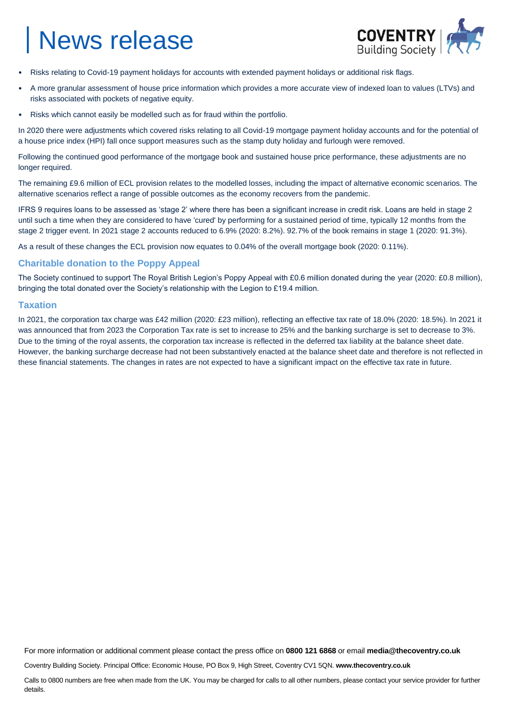

- Risks relating to Covid-19 payment holidays for accounts with extended payment holidays or additional risk flags.
- A more granular assessment of house price information which provides a more accurate view of indexed loan to values (LTVs) and risks associated with pockets of negative equity.
- Risks which cannot easily be modelled such as for fraud within the portfolio.

In 2020 there were adjustments which covered risks relating to all Covid-19 mortgage payment holiday accounts and for the potential of a house price index (HPI) fall once support measures such as the stamp duty holiday and furlough were removed.

Following the continued good performance of the mortgage book and sustained house price performance, these adjustments are no longer required.

The remaining £9.6 million of ECL provision relates to the modelled losses, including the impact of alternative economic scenarios. The alternative scenarios reflect a range of possible outcomes as the economy recovers from the pandemic.

IFRS 9 requires loans to be assessed as 'stage 2' where there has been a significant increase in credit risk. Loans are held in stage 2 until such a time when they are considered to have 'cured' by performing for a sustained period of time, typically 12 months from the stage 2 trigger event. In 2021 stage 2 accounts reduced to 6.9% (2020: 8.2%). 92.7% of the book remains in stage 1 (2020: 91.3%).

As a result of these changes the ECL provision now equates to 0.04% of the overall mortgage book (2020: 0.11%).

### **Charitable donation to the Poppy Appeal**

The Society continued to support The Royal British Legion's Poppy Appeal with £0.6 million donated during the year (2020: £0.8 million), bringing the total donated over the Society's relationship with the Legion to £19.4 million.

### **Taxation**

In 2021, the corporation tax charge was £42 million (2020: £23 million), reflecting an effective tax rate of 18.0% (2020: 18.5%). In 2021 it was announced that from 2023 the Corporation Tax rate is set to increase to 25% and the banking surcharge is set to decrease to 3%. Due to the timing of the royal assents, the corporation tax increase is reflected in the deferred tax liability at the balance sheet date. However, the banking surcharge decrease had not been substantively enacted at the balance sheet date and therefore is not reflected in these financial statements. The changes in rates are not expected to have a significant impact on the effective tax rate in future.

For more information or additional comment please contact the press office on **0800 121 6868** or email **media@thecoventry.co.uk**

Coventry Building Society. Principal Office: Economic House, PO Box 9, High Street, Coventry CV1 5QN. **www.thecoventry.co.uk**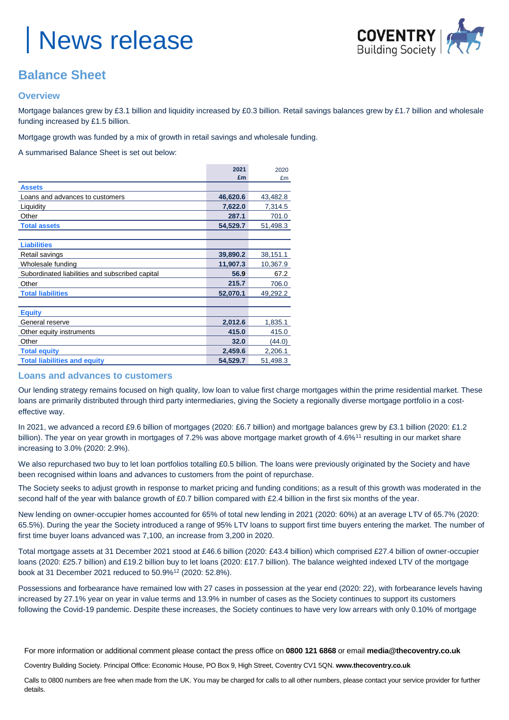

### **Balance Sheet**

### **Overview**

Mortgage balances grew by £3.1 billion and liquidity increased by £0.3 billion. Retail savings balances grew by £1.7 billion and wholesale funding increased by £1.5 billion.

Mortgage growth was funded by a mix of growth in retail savings and wholesale funding.

A summarised Balance Sheet is set out below:

|                                                 | 2021     | 2020     |
|-------------------------------------------------|----------|----------|
|                                                 | £m       | £m       |
| <b>Assets</b>                                   |          |          |
| Loans and advances to customers                 | 46,620.6 | 43,482.8 |
| Liquidity                                       | 7,622.0  | 7,314.5  |
| Other                                           | 287.1    | 701.0    |
| <b>Total assets</b>                             | 54,529.7 | 51,498.3 |
|                                                 |          |          |
| <b>Liabilities</b>                              |          |          |
| Retail savings                                  | 39,890.2 | 38,151.1 |
| Wholesale funding                               | 11,907.3 | 10,367.9 |
| Subordinated liabilities and subscribed capital | 56.9     | 67.2     |
| Other                                           | 215.7    | 706.0    |
| <b>Total liabilities</b>                        | 52,070.1 | 49,292.2 |
|                                                 |          |          |
| <b>Equity</b>                                   |          |          |
| General reserve                                 | 2,012.6  | 1,835.1  |
| Other equity instruments                        | 415.0    | 415.0    |
| Other                                           | 32.0     | (44.0)   |
| <b>Total equity</b>                             | 2,459.6  | 2,206.1  |
| <b>Total liabilities and equity</b>             | 54,529.7 | 51,498.3 |

### **Loans and advances to customers**

Our lending strategy remains focused on high quality, low loan to value first charge mortgages within the prime residential market. These loans are primarily distributed through third party intermediaries, giving the Society a regionally diverse mortgage portfolio in a costeffective way.

In 2021, we advanced a record £9.6 billion of mortgages (2020: £6.7 billion) and mortgage balances grew by £3.1 billion (2020: £1.2 billion). The year on year growth in mortgages of 7.2% was above mortgage market growth of 4.6%<sup>11</sup> resulting in our market share increasing to 3.0% (2020: 2.9%).

We also repurchased two buy to let loan portfolios totalling £0.5 billion. The loans were previously originated by the Society and have been recognised within loans and advances to customers from the point of repurchase.

The Society seeks to adjust growth in response to market pricing and funding conditions; as a result of this growth was moderated in the second half of the year with balance growth of £0.7 billion compared with £2.4 billion in the first six months of the year.

New lending on owner-occupier homes accounted for 65% of total new lending in 2021 (2020: 60%) at an average LTV of 65.7% (2020: 65.5%). During the year the Society introduced a range of 95% LTV loans to support first time buyers entering the market. The number of first time buyer loans advanced was 7,100, an increase from 3,200 in 2020.

Total mortgage assets at 31 December 2021 stood at £46.6 billion (2020: £43.4 billion) which comprised £27.4 billion of owner-occupier loans (2020: £25.7 billion) and £19.2 billion buy to let loans (2020: £17.7 billion). The balance weighted indexed LTV of the mortgage book at 31 December 2021 reduced to 50.9%<sup>12</sup> (2020: 52.8%).

Possessions and forbearance have remained low with 27 cases in possession at the year end (2020: 22), with forbearance levels having increased by 27.1% year on year in value terms and 13.9% in number of cases as the Society continues to support its customers following the Covid-19 pandemic. Despite these increases, the Society continues to have very low arrears with only 0.10% of mortgage

For more information or additional comment please contact the press office on **0800 121 6868** or email **media@thecoventry.co.uk**

Coventry Building Society. Principal Office: Economic House, PO Box 9, High Street, Coventry CV1 5QN. **www.thecoventry.co.uk**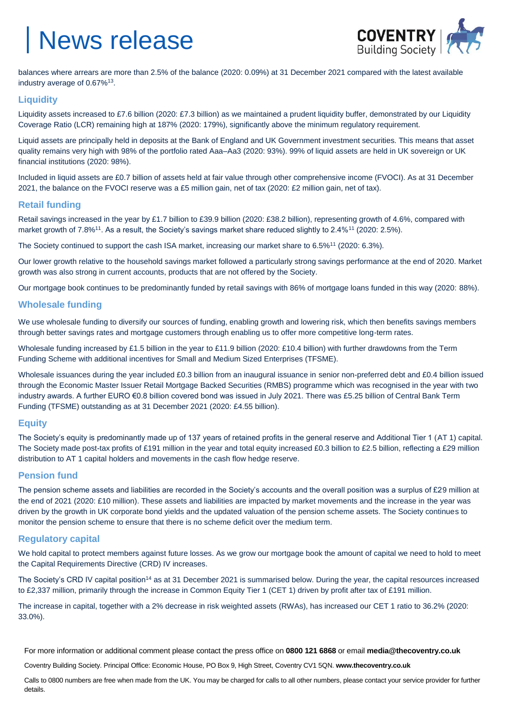

balances where arrears are more than 2.5% of the balance (2020: 0.09%) at 31 December 2021 compared with the latest available industry average of 0.67%<sup>13</sup>.

### **Liquidity**

Liquidity assets increased to £7.6 billion (2020: £7.3 billion) as we maintained a prudent liquidity buffer, demonstrated by our Liquidity Coverage Ratio (LCR) remaining high at 187% (2020: 179%), significantly above the minimum regulatory requirement.

Liquid assets are principally held in deposits at the Bank of England and UK Government investment securities. This means that asset quality remains very high with 98% of the portfolio rated Aaa–Aa3 (2020: 93%). 99% of liquid assets are held in UK sovereign or UK financial institutions (2020: 98%).

Included in liquid assets are £0.7 billion of assets held at fair value through other comprehensive income (FVOCI). As at 31 December 2021, the balance on the FVOCI reserve was a £5 million gain, net of tax (2020: £2 million gain, net of tax).

### **Retail funding**

Retail savings increased in the year by £1.7 billion to £39.9 billion (2020: £38.2 billion), representing growth of 4.6%, compared with market growth of 7.8%<sup>11</sup>. As a result, the Society's savings market share reduced slightly to 2.4%<sup>11</sup> (2020: 2.5%).

The Society continued to support the cash ISA market, increasing our market share to 6.5%<sup>11</sup> (2020: 6.3%).

Our lower growth relative to the household savings market followed a particularly strong savings performance at the end of 2020. Market growth was also strong in current accounts, products that are not offered by the Society.

Our mortgage book continues to be predominantly funded by retail savings with 86% of mortgage loans funded in this way (2020: 88%).

### **Wholesale funding**

We use wholesale funding to diversify our sources of funding, enabling growth and lowering risk, which then benefits savings members through better savings rates and mortgage customers through enabling us to offer more competitive long-term rates.

Wholesale funding increased by £1.5 billion in the year to £11.9 billion (2020: £10.4 billion) with further drawdowns from the Term Funding Scheme with additional incentives for Small and Medium Sized Enterprises (TFSME).

Wholesale issuances during the year included £0.3 billion from an inaugural issuance in senior non-preferred debt and £0.4 billion issued through the Economic Master Issuer Retail Mortgage Backed Securities (RMBS) programme which was recognised in the year with two industry awards. A further EURO €0.8 billion covered bond was issued in July 2021. There was £5.25 billion of Central Bank Term Funding (TFSME) outstanding as at 31 December 2021 (2020: £4.55 billion).

### **Equity**

The Society's equity is predominantly made up of 137 years of retained profits in the general reserve and Additional Tier 1 (AT 1) capital. The Society made post-tax profits of £191 million in the year and total equity increased £0.3 billion to £2.5 billion, reflecting a £29 million distribution to AT 1 capital holders and movements in the cash flow hedge reserve.

### **Pension fund**

The pension scheme assets and liabilities are recorded in the Society's accounts and the overall position was a surplus of £29 million at the end of 2021 (2020: £10 million). These assets and liabilities are impacted by market movements and the increase in the year was driven by the growth in UK corporate bond yields and the updated valuation of the pension scheme assets. The Society continues to monitor the pension scheme to ensure that there is no scheme deficit over the medium term.

### **Regulatory capital**

We hold capital to protect members against future losses. As we grow our mortgage book the amount of capital we need to hold to meet the Capital Requirements Directive (CRD) IV increases.

The Society's CRD IV capital position<sup>14</sup> as at 31 December 2021 is summarised below. During the year, the capital resources increased to £2,337 million, primarily through the increase in Common Equity Tier 1 (CET 1) driven by profit after tax of £191 million.

The increase in capital, together with a 2% decrease in risk weighted assets (RWAs), has increased our CET 1 ratio to 36.2% (2020: 33.0%).

For more information or additional comment please contact the press office on **0800 121 6868** or email **media@thecoventry.co.uk**

Coventry Building Society. Principal Office: Economic House, PO Box 9, High Street, Coventry CV1 5QN. **www.thecoventry.co.uk**